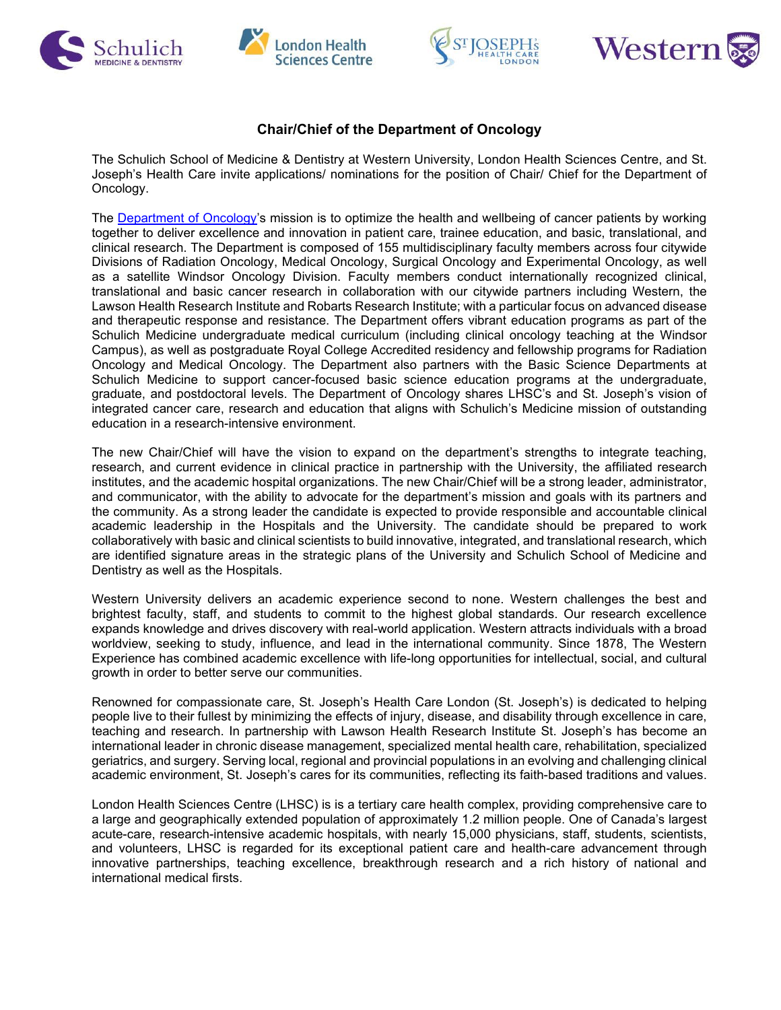







## **Chair/Chief of the Department of Oncology**

The Schulich School of Medicine & Dentistry at Western University, London Health Sciences Centre, and St. Joseph's Health Care invite applications/ nominations for the position of Chair/ Chief for the Department of Oncology.

The [Department of Oncology's](https://www.schulich.uwo.ca/oncology/) mission is to optimize the health and wellbeing of cancer patients by working together to deliver excellence and innovation in patient care, trainee education, and basic, translational, and clinical research. The Department is composed of 155 multidisciplinary faculty members across four citywide Divisions of Radiation Oncology, Medical Oncology, Surgical Oncology and Experimental Oncology, as well as a satellite Windsor Oncology Division. Faculty members conduct internationally recognized clinical, translational and basic cancer research in collaboration with our citywide partners including Western, the Lawson Health Research Institute and Robarts Research Institute; with a particular focus on advanced disease and therapeutic response and resistance. The Department offers vibrant education programs as part of the Schulich Medicine undergraduate medical curriculum (including clinical oncology teaching at the Windsor Campus), as well as postgraduate Royal College Accredited residency and fellowship programs for Radiation Oncology and Medical Oncology. The Department also partners with the Basic Science Departments at Schulich Medicine to support cancer-focused basic science education programs at the undergraduate, graduate, and postdoctoral levels. The Department of Oncology shares LHSC's and St. Joseph's vision of integrated cancer care, research and education that aligns with Schulich's Medicine mission of outstanding education in a research-intensive environment.

The new Chair/Chief will have the vision to expand on the department's strengths to integrate teaching, research, and current evidence in clinical practice in partnership with the University, the affiliated research institutes, and the academic hospital organizations. The new Chair/Chief will be a strong leader, administrator, and communicator, with the ability to advocate for the department's mission and goals with its partners and the community. As a strong leader the candidate is expected to provide responsible and accountable clinical academic leadership in the Hospitals and the University. The candidate should be prepared to work collaboratively with basic and clinical scientists to build innovative, integrated, and translational research, which are identified signature areas in the strategic plans of the University and Schulich School of Medicine and Dentistry as well as the Hospitals.

Western University delivers an academic experience second to none. Western challenges the best and brightest faculty, staff, and students to commit to the highest global standards. Our research excellence expands knowledge and drives discovery with real-world application. Western attracts individuals with a broad worldview, seeking to study, influence, and lead in the international community. Since 1878, The Western Experience has combined academic excellence with life-long opportunities for intellectual, social, and cultural growth in order to better serve our communities.

Renowned for compassionate care, St. Joseph's Health Care London (St. Joseph's) is dedicated to helping people live to their fullest by minimizing the effects of injury, disease, and disability through excellence in care, teaching and research. In partnership with Lawson Health Research Institute St. Joseph's has become an international leader in chronic disease management, specialized mental health care, rehabilitation, specialized geriatrics, and surgery. Serving local, regional and provincial populations in an evolving and challenging clinical academic environment, St. Joseph's cares for its communities, reflecting its faith-based traditions and values.

London Health Sciences Centre (LHSC) is is a tertiary care health complex, providing comprehensive care to a large and geographically extended population of approximately 1.2 million people. One of Canada's largest acute-care, research-intensive academic hospitals, with nearly 15,000 physicians, staff, students, scientists, and volunteers, LHSC is regarded for its exceptional patient care and health-care advancement through innovative partnerships, teaching excellence, breakthrough research and a rich history of national and international medical firsts.